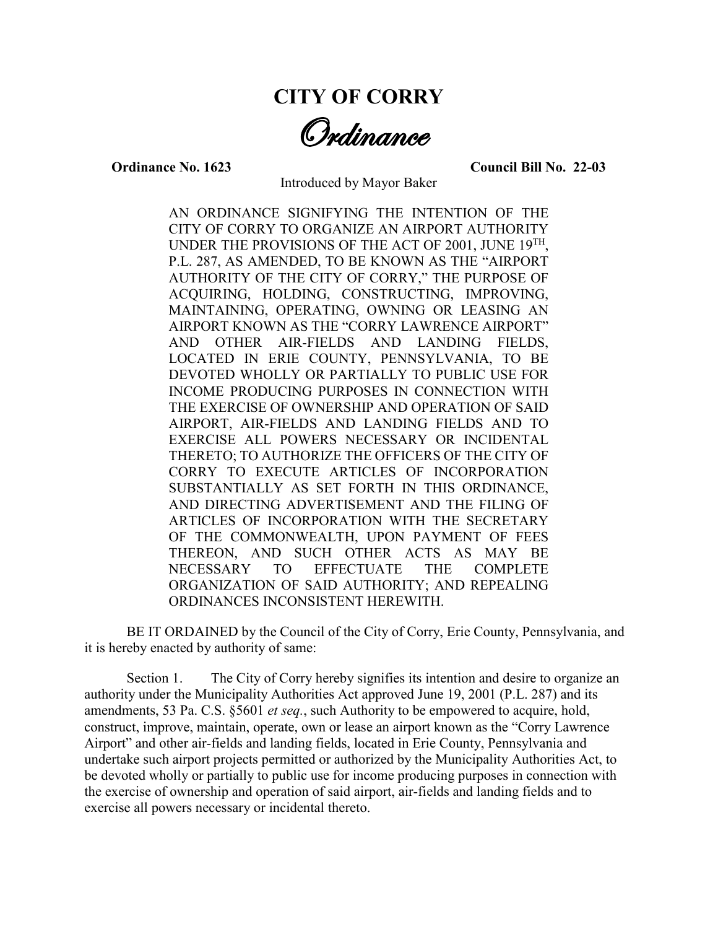## **CITY OF CORRY**

Ordinance

**Ordinance No. 1623 Council Bill No. 22-03**

Introduced by Mayor Baker

AN ORDINANCE SIGNIFYING THE INTENTION OF THE CITY OF CORRY TO ORGANIZE AN AIRPORT AUTHORITY UNDER THE PROVISIONS OF THE ACT OF 2001, JUNE 19TH, P.L. 287, AS AMENDED, TO BE KNOWN AS THE "AIRPORT AUTHORITY OF THE CITY OF CORRY," THE PURPOSE OF ACQUIRING, HOLDING, CONSTRUCTING, IMPROVING, MAINTAINING, OPERATING, OWNING OR LEASING AN AIRPORT KNOWN AS THE "CORRY LAWRENCE AIRPORT" AND OTHER AIR-FIELDS AND LANDING FIELDS, LOCATED IN ERIE COUNTY, PENNSYLVANIA, TO BE DEVOTED WHOLLY OR PARTIALLY TO PUBLIC USE FOR INCOME PRODUCING PURPOSES IN CONNECTION WITH THE EXERCISE OF OWNERSHIP AND OPERATION OF SAID AIRPORT, AIR-FIELDS AND LANDING FIELDS AND TO EXERCISE ALL POWERS NECESSARY OR INCIDENTAL THERETO; TO AUTHORIZE THE OFFICERS OF THE CITY OF CORRY TO EXECUTE ARTICLES OF INCORPORATION SUBSTANTIALLY AS SET FORTH IN THIS ORDINANCE, AND DIRECTING ADVERTISEMENT AND THE FILING OF ARTICLES OF INCORPORATION WITH THE SECRETARY OF THE COMMONWEALTH, UPON PAYMENT OF FEES THEREON, AND SUCH OTHER ACTS AS MAY BE NECESSARY TO EFFECTUATE THE COMPLETE ORGANIZATION OF SAID AUTHORITY; AND REPEALING ORDINANCES INCONSISTENT HEREWITH.

BE IT ORDAINED by the Council of the City of Corry, Erie County, Pennsylvania, and it is hereby enacted by authority of same:

Section 1. The City of Corry hereby signifies its intention and desire to organize an authority under the Municipality Authorities Act approved June 19, 2001 (P.L. 287) and its amendments, 53 Pa. C.S. §5601 *et seq.*, such Authority to be empowered to acquire, hold, construct, improve, maintain, operate, own or lease an airport known as the "Corry Lawrence Airport" and other air-fields and landing fields, located in Erie County, Pennsylvania and undertake such airport projects permitted or authorized by the Municipality Authorities Act, to be devoted wholly or partially to public use for income producing purposes in connection with the exercise of ownership and operation of said airport, air-fields and landing fields and to exercise all powers necessary or incidental thereto.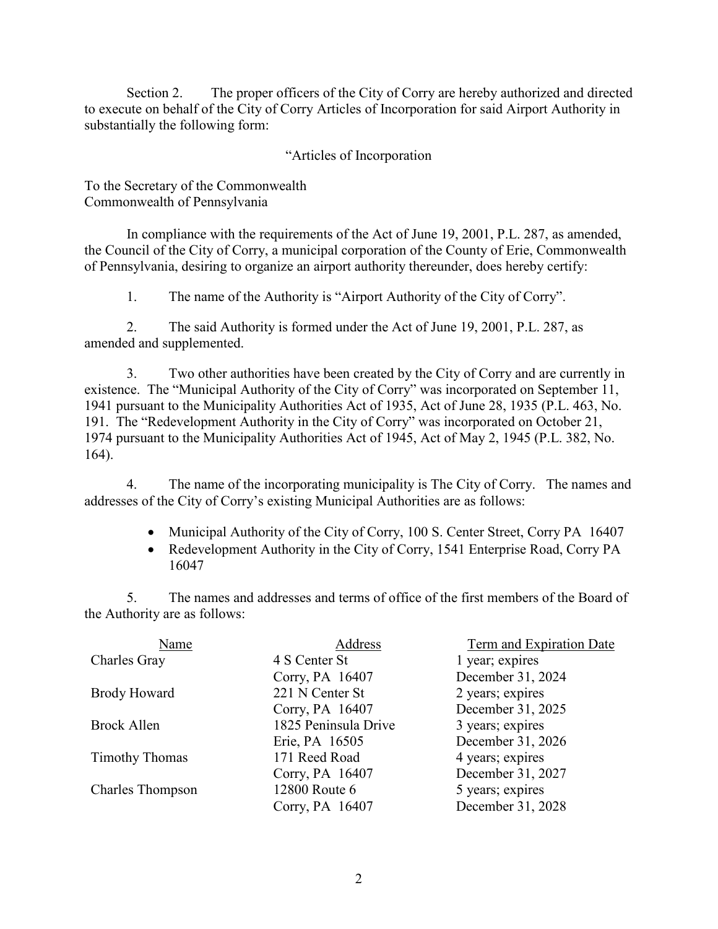Section 2. The proper officers of the City of Corry are hereby authorized and directed to execute on behalf of the City of Corry Articles of Incorporation for said Airport Authority in substantially the following form:

"Articles of Incorporation

To the Secretary of the Commonwealth Commonwealth of Pennsylvania

In compliance with the requirements of the Act of June 19, 2001, P.L. 287, as amended, the Council of the City of Corry, a municipal corporation of the County of Erie, Commonwealth of Pennsylvania, desiring to organize an airport authority thereunder, does hereby certify:

1. The name of the Authority is "Airport Authority of the City of Corry".

2. The said Authority is formed under the Act of June 19, 2001, P.L. 287, as amended and supplemented.

3. Two other authorities have been created by the City of Corry and are currently in existence. The "Municipal Authority of the City of Corry" was incorporated on September 11, 1941 pursuant to the Municipality Authorities Act of 1935, Act of June 28, 1935 (P.L. 463, No. 191. The "Redevelopment Authority in the City of Corry" was incorporated on October 21, 1974 pursuant to the Municipality Authorities Act of 1945, Act of May 2, 1945 (P.L. 382, No. 164).

4. The name of the incorporating municipality is The City of Corry. The names and addresses of the City of Corry's existing Municipal Authorities are as follows:

- Municipal Authority of the City of Corry, 100 S. Center Street, Corry PA 16407
- Redevelopment Authority in the City of Corry, 1541 Enterprise Road, Corry PA 16047

5. The names and addresses and terms of office of the first members of the Board of the Authority are as follows:

| Name                    | Address              | Term and Expiration Date |
|-------------------------|----------------------|--------------------------|
| Charles Gray            | 4 S Center St        | 1 year; expires          |
|                         | Corry, PA 16407      | December 31, 2024        |
| <b>Brody Howard</b>     | 221 N Center St      | 2 years; expires         |
|                         | Corry, PA 16407      | December 31, 2025        |
| Brock Allen             | 1825 Peninsula Drive | 3 years; expires         |
|                         | Erie, PA 16505       | December 31, 2026        |
| <b>Timothy Thomas</b>   | 171 Reed Road        | 4 years; expires         |
|                         | Corry, PA 16407      | December 31, 2027        |
| <b>Charles Thompson</b> | 12800 Route 6        | 5 years; expires         |
|                         | Corry, PA 16407      | December 31, 2028        |